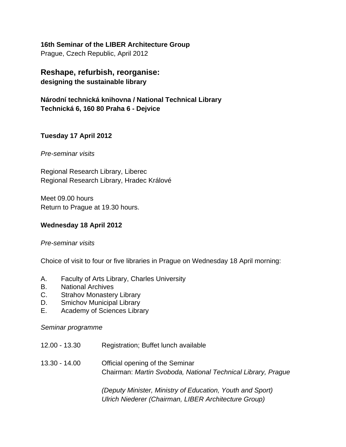**16th Seminar of the LIBER Architecture Group** Prague, Czech Republic, April 2012

**Reshape, refurbish, reorganise: designing the sustainable library** 

**Národní technická knihovna / National Technical Library Technická 6, 160 80 Praha 6 - Dejvice** 

### **Tuesday 17 April 2012**

*Pre-seminar visits* 

Regional Research Library, Liberec Regional Research Library, Hradec Králové

Meet 09.00 hours Return to Prague at 19.30 hours.

### **Wednesday 18 April 2012**

### *Pre-seminar visits*

Choice of visit to four or five libraries in Prague on Wednesday 18 April morning:

- A. Faculty of Arts Library, Charles University
- B. National Archives
- C. Strahov Monastery Library
- D. Smichov Municipal Library
- E. Academy of Sciences Library

*Seminar programme* 

- 12.00 13.30 Registration; Buffet lunch available
- 13.30 14.00 Official opening of the Seminar Chairman: *Martin Svoboda, National Technical Library, Prague*

*(Deputy Minister, Ministry of Education, Youth and Sport) Ulrich Niederer (Chairman, LIBER Architecture Group)*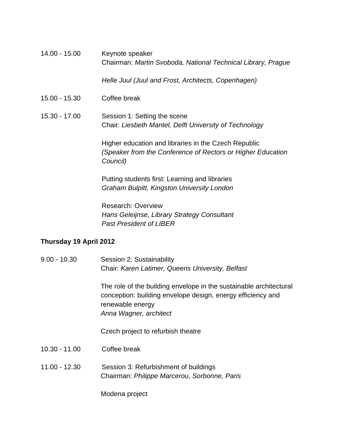| 14.00 - 15.00 | Keynote speaker<br>Chairman: Martin Svoboda, National Technical Library, Prague                                                 |
|---------------|---------------------------------------------------------------------------------------------------------------------------------|
|               | Helle Juul (Juul and Frost, Architects, Copenhagen)                                                                             |
| 15.00 - 15.30 | Coffee break                                                                                                                    |
| 15.30 - 17.00 | Session 1: Setting the scene<br>Chair: Liesbeth Mantel, Delft University of Technology                                          |
|               | Higher education and libraries in the Czech Republic<br>(Speaker from the Conference of Rectors or Higher Education<br>Council) |
|               | Putting students first: Learning and libraries<br>Graham Bulpitt, Kingston University London                                    |
|               | <b>Research: Overview</b><br>Hans Geleijnse, Library Strategy Consultant                                                        |

*Past President of LIBER*

# **Thursday 19 April 2012**

| $9.00 - 10.30$  | Session 2: Sustainability<br>Chair: Karen Latimer, Queens University, Belfast                                                                                                   |
|-----------------|---------------------------------------------------------------------------------------------------------------------------------------------------------------------------------|
|                 | The role of the building envelope in the sustainable architectural<br>conception: building envelope design, energy efficiency and<br>renewable energy<br>Anna Wagner, architect |
|                 | Czech project to refurbish theatre                                                                                                                                              |
| $10.30 - 11.00$ | Coffee break                                                                                                                                                                    |
| $11.00 - 12.30$ | Session 3: Refurbishment of buildings<br>Chairman: Philippe Marcerou, Sorbonne, Paris                                                                                           |
|                 | Modena project                                                                                                                                                                  |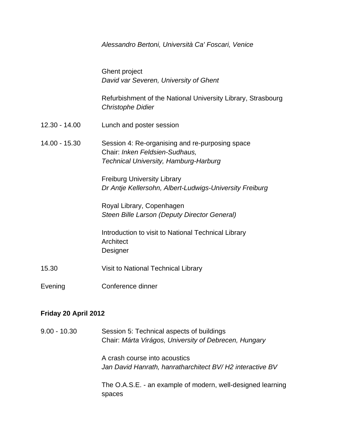|                 | Alessandro Bertoni, Università Ca' Foscari, Venice                                                                         |
|-----------------|----------------------------------------------------------------------------------------------------------------------------|
|                 | <b>Ghent project</b><br>David var Severen, University of Ghent                                                             |
|                 | Refurbishment of the National University Library, Strasbourg<br><b>Christophe Didier</b>                                   |
| $12.30 - 14.00$ | Lunch and poster session                                                                                                   |
| $14.00 - 15.30$ | Session 4: Re-organising and re-purposing space<br>Chair: Inken Feldsien-Sudhaus,<br>Technical University, Hamburg-Harburg |
|                 | <b>Freiburg University Library</b><br>Dr Antje Kellersohn, Albert-Ludwigs-University Freiburg                              |
|                 | Royal Library, Copenhagen<br>Steen Bille Larson (Deputy Director General)                                                  |
|                 | Introduction to visit to National Technical Library<br>Architect<br>Designer                                               |
| 15.30           | Visit to National Technical Library                                                                                        |
| Evening         | Conference dinner                                                                                                          |

### **Friday 20 April 2012**

9.00 - 10.30 Session 5: Technical aspects of buildings Chair: *Márta Virágos, University of Debrecen, Hungary*  A crash course into acoustics *Jan David Hanrath, hanratharchitect BV/ H2 interactive BV*  The O.A.S.E. - an example of modern, well-designed learning spaces